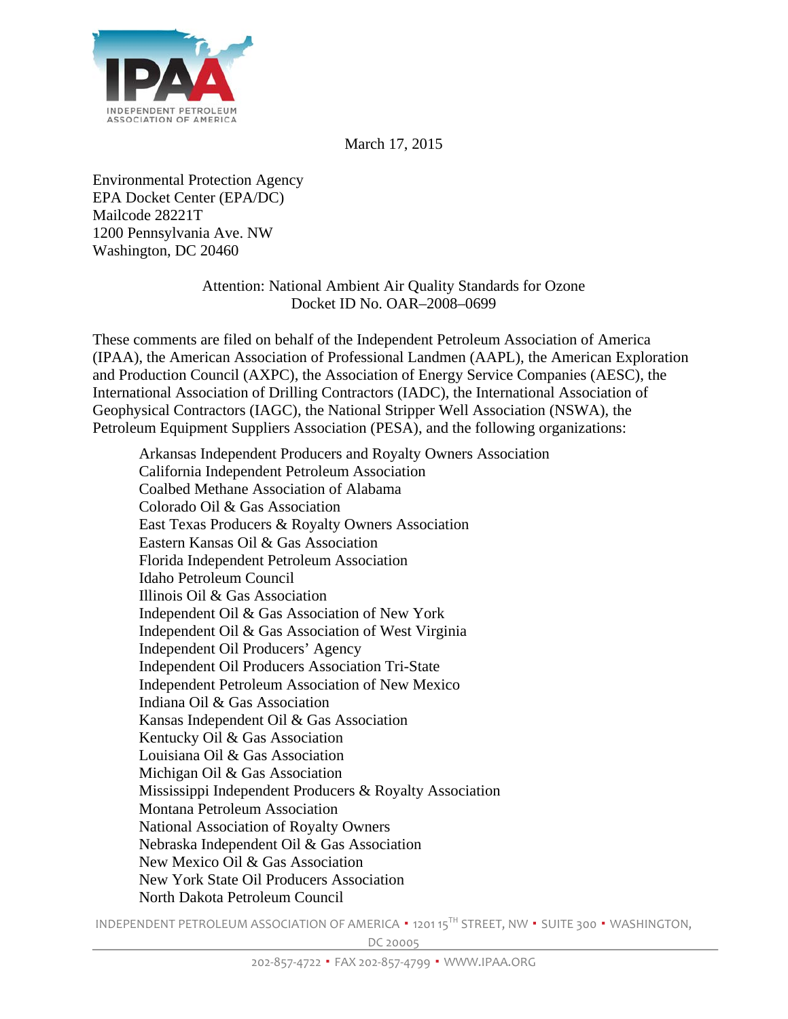

March 17, 2015

Environmental Protection Agency EPA Docket Center (EPA/DC) Mailcode 28221T 1200 Pennsylvania Ave. NW Washington, DC 20460

## Attention: National Ambient Air Quality Standards for Ozone Docket ID No. OAR–2008–0699

These comments are filed on behalf of the Independent Petroleum Association of America (IPAA), the American Association of Professional Landmen (AAPL), the American Exploration and Production Council (AXPC), the Association of Energy Service Companies (AESC), the International Association of Drilling Contractors (IADC), the International Association of Geophysical Contractors (IAGC), the National Stripper Well Association (NSWA), the Petroleum Equipment Suppliers Association (PESA), and the following organizations:

Arkansas Independent Producers and Royalty Owners Association California Independent Petroleum Association Coalbed Methane Association of Alabama Colorado Oil & Gas Association East Texas Producers & Royalty Owners Association Eastern Kansas Oil & Gas Association Florida Independent Petroleum Association Idaho Petroleum Council Illinois Oil & Gas Association Independent Oil & Gas Association of New York Independent Oil & Gas Association of West Virginia Independent Oil Producers' Agency Independent Oil Producers Association Tri-State Independent Petroleum Association of New Mexico Indiana Oil & Gas Association Kansas Independent Oil & Gas Association Kentucky Oil & Gas Association Louisiana Oil & Gas Association Michigan Oil & Gas Association Mississippi Independent Producers & Royalty Association Montana Petroleum Association National Association of Royalty Owners Nebraska Independent Oil & Gas Association New Mexico Oil & Gas Association New York State Oil Producers Association North Dakota Petroleum Council

INDEPENDENT PETROLEUM ASSOCIATION OF AMERICA . 1201 15TH STREET, NW . SUITE 300 . WASHINGTON.

DC 20005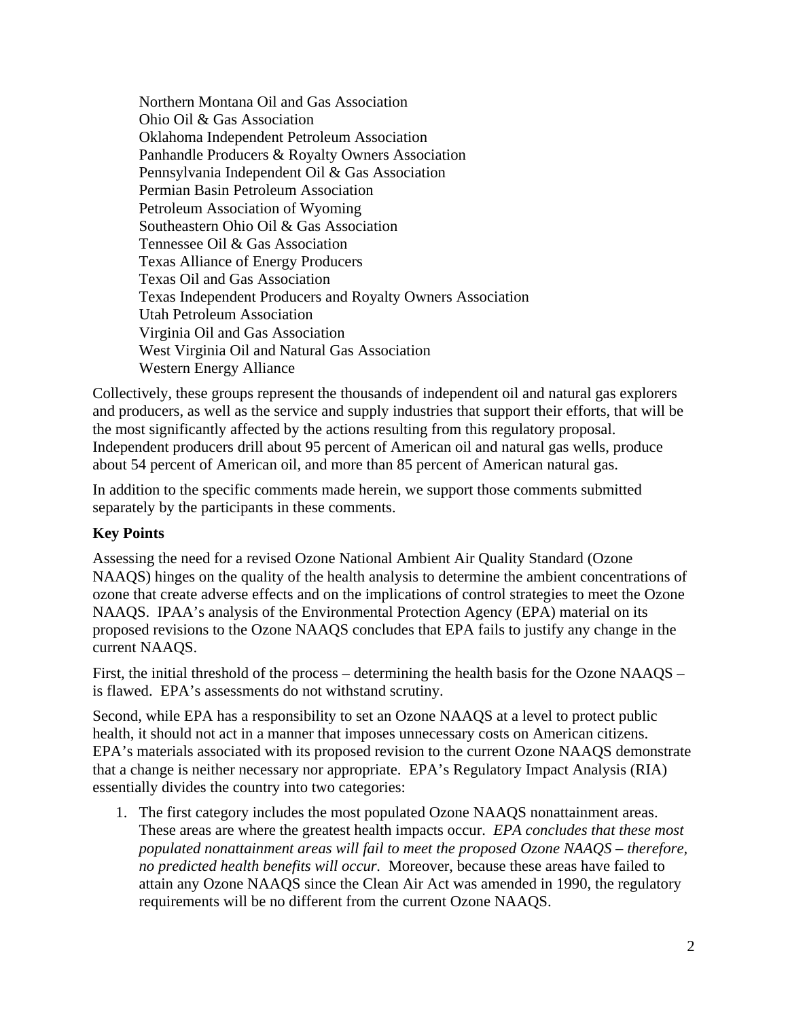Northern Montana Oil and Gas Association Ohio Oil & Gas Association Oklahoma Independent Petroleum Association Panhandle Producers & Royalty Owners Association Pennsylvania Independent Oil & Gas Association Permian Basin Petroleum Association Petroleum Association of Wyoming Southeastern Ohio Oil & Gas Association Tennessee Oil & Gas Association Texas Alliance of Energy Producers Texas Oil and Gas Association Texas Independent Producers and Royalty Owners Association Utah Petroleum Association Virginia Oil and Gas Association West Virginia Oil and Natural Gas Association Western Energy Alliance

Collectively, these groups represent the thousands of independent oil and natural gas explorers and producers, as well as the service and supply industries that support their efforts, that will be the most significantly affected by the actions resulting from this regulatory proposal. Independent producers drill about 95 percent of American oil and natural gas wells, produce about 54 percent of American oil, and more than 85 percent of American natural gas.

In addition to the specific comments made herein, we support those comments submitted separately by the participants in these comments.

## **Key Points**

Assessing the need for a revised Ozone National Ambient Air Quality Standard (Ozone NAAQS) hinges on the quality of the health analysis to determine the ambient concentrations of ozone that create adverse effects and on the implications of control strategies to meet the Ozone NAAQS. IPAA's analysis of the Environmental Protection Agency (EPA) material on its proposed revisions to the Ozone NAAQS concludes that EPA fails to justify any change in the current NAAQS.

First, the initial threshold of the process – determining the health basis for the Ozone NAAQS – is flawed. EPA's assessments do not withstand scrutiny.

Second, while EPA has a responsibility to set an Ozone NAAQS at a level to protect public health, it should not act in a manner that imposes unnecessary costs on American citizens. EPA's materials associated with its proposed revision to the current Ozone NAAQS demonstrate that a change is neither necessary nor appropriate. EPA's Regulatory Impact Analysis (RIA) essentially divides the country into two categories:

1. The first category includes the most populated Ozone NAAQS nonattainment areas. These areas are where the greatest health impacts occur. *EPA concludes that these most populated nonattainment areas will fail to meet the proposed Ozone NAAQS – therefore, no predicted health benefits will occur.* Moreover, because these areas have failed to attain any Ozone NAAQS since the Clean Air Act was amended in 1990, the regulatory requirements will be no different from the current Ozone NAAQS.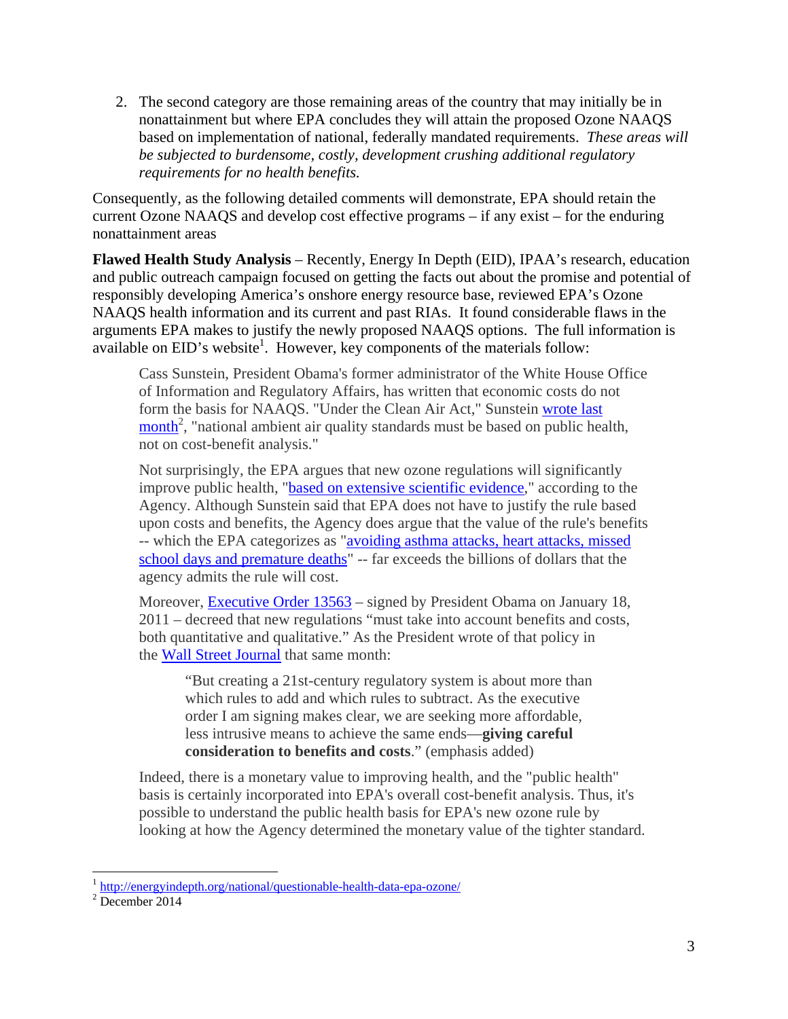2. The second category are those remaining areas of the country that may initially be in nonattainment but where EPA concludes they will attain the proposed Ozone NAAQS based on implementation of national, federally mandated requirements. *These areas will be subjected to burdensome, costly, development crushing additional regulatory requirements for no health benefits.*

Consequently, as the following detailed comments will demonstrate, EPA should retain the current Ozone NAAQS and develop cost effective programs – if any exist – for the enduring nonattainment areas

**Flawed Health Study Analysis** – Recently, Energy In Depth (EID), IPAA's research, education and public outreach campaign focused on getting the facts out about the promise and potential of responsibly developing America's onshore energy resource base, reviewed EPA's Ozone NAAQS health information and its current and past RIAs. It found considerable flaws in the arguments EPA makes to justify the newly proposed NAAQS options. The full information is available on EID's website<sup>1</sup>. However, key components of the materials follow:

Cass Sunstein, President Obama's former administrator of the White House Office of Information and Regulatory Affairs, has written that economic costs do not form the basis for NAAQS. "Under the Clean Air Act," Sunstein wrote last  $\frac{\text{month}^2}{\text{month}^2}$ , "national ambient air quality standards must be based on public health, not on cost-benefit analysis."

Not surprisingly, the EPA argues that new ozone regulations will significantly improve public health, "based on extensive scientific evidence," according to the Agency. Although Sunstein said that EPA does not have to justify the rule based upon costs and benefits, the Agency does argue that the value of the rule's benefits -- which the EPA categorizes as "avoiding asthma attacks, heart attacks, missed school days and premature deaths" -- far exceeds the billions of dollars that the agency admits the rule will cost.

Moreover, Executive Order 13563 – signed by President Obama on January 18, 2011 – decreed that new regulations "must take into account benefits and costs, both quantitative and qualitative." As the President wrote of that policy in the Wall Street Journal that same month:

"But creating a 21st-century regulatory system is about more than which rules to add and which rules to subtract. As the executive order I am signing makes clear, we are seeking more affordable, less intrusive means to achieve the same ends—**giving careful consideration to benefits and costs**." (emphasis added)

Indeed, there is a monetary value to improving health, and the "public health" basis is certainly incorporated into EPA's overall cost-benefit analysis. Thus, it's possible to understand the public health basis for EPA's new ozone rule by looking at how the Agency determined the monetary value of the tighter standard.

 $\overline{a}$ 

<sup>&</sup>lt;sup>1</sup> http://energyindepth.org/national/questionable-health-data-epa-ozone/<br><sup>2</sup> December 2014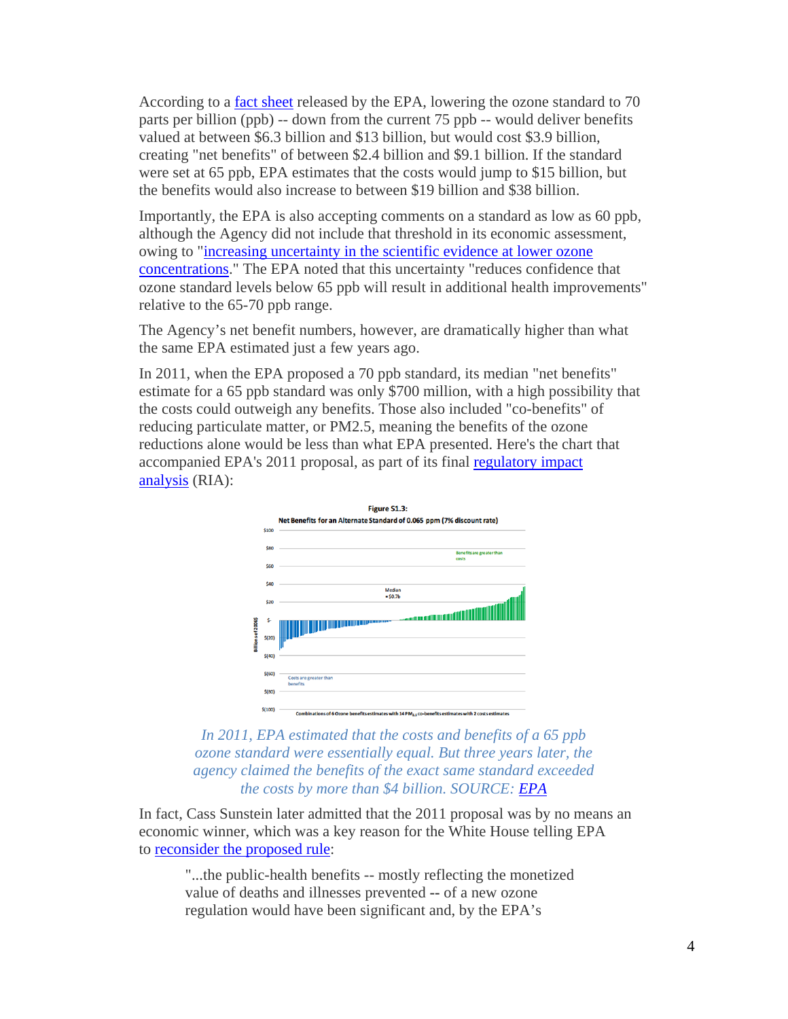According to a fact sheet released by the EPA, lowering the ozone standard to 70 parts per billion (ppb) -- down from the current 75 ppb -- would deliver benefits valued at between \$6.3 billion and \$13 billion, but would cost \$3.9 billion, creating "net benefits" of between \$2.4 billion and \$9.1 billion. If the standard were set at 65 ppb, EPA estimates that the costs would jump to \$15 billion, but the benefits would also increase to between \$19 billion and \$38 billion.

Importantly, the EPA is also accepting comments on a standard as low as 60 ppb, although the Agency did not include that threshold in its economic assessment, owing to "increasing uncertainty in the scientific evidence at lower ozone concentrations." The EPA noted that this uncertainty "reduces confidence that ozone standard levels below 65 ppb will result in additional health improvements" relative to the 65-70 ppb range.

The Agency's net benefit numbers, however, are dramatically higher than what the same EPA estimated just a few years ago.

In 2011, when the EPA proposed a 70 ppb standard, its median "net benefits" estimate for a 65 ppb standard was only \$700 million, with a high possibility that the costs could outweigh any benefits. Those also included "co-benefits" of reducing particulate matter, or PM2.5, meaning the benefits of the ozone reductions alone would be less than what EPA presented. Here's the chart that accompanied EPA's 2011 proposal, as part of its final regulatory impact analysis (RIA):



*In 2011, EPA estimated that the costs and benefits of a 65 ppb ozone standard were essentially equal. But three years later, the agency claimed the benefits of the exact same standard exceeded the costs by more than \$4 billion. SOURCE: EPA*

In fact, Cass Sunstein later admitted that the 2011 proposal was by no means an economic winner, which was a key reason for the White House telling EPA to reconsider the proposed rule:

"...the public-health benefits -- mostly reflecting the monetized value of deaths and illnesses prevented **--** of a new ozone regulation would have been significant and, by the EPA's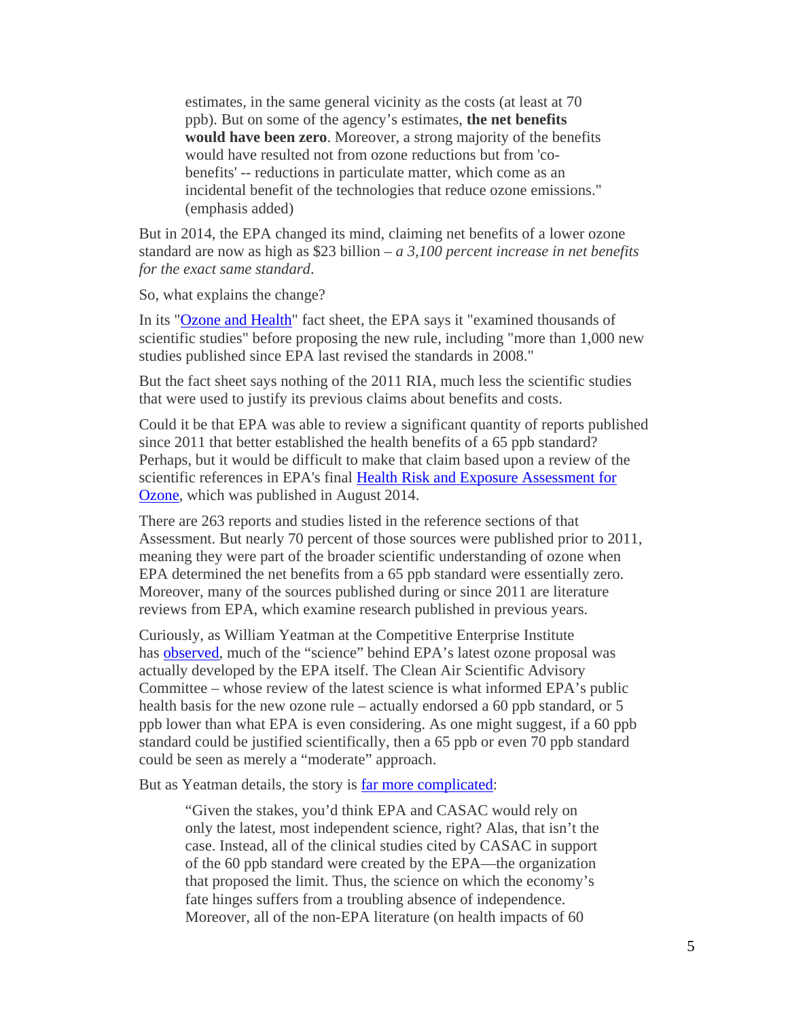estimates, in the same general vicinity as the costs (at least at 70 ppb). But on some of the agency's estimates, **the net benefits would have been zero**. Moreover, a strong majority of the benefits would have resulted not from ozone reductions but from 'cobenefits' -- reductions in particulate matter, which come as an incidental benefit of the technologies that reduce ozone emissions." (emphasis added)

But in 2014, the EPA changed its mind, claiming net benefits of a lower ozone standard are now as high as \$23 billion – *a 3,100 percent increase in net benefits for the exact same standard*.

So, what explains the change?

In its "Ozone and Health" fact sheet, the EPA says it "examined thousands of scientific studies" before proposing the new rule, including "more than 1,000 new studies published since EPA last revised the standards in 2008."

But the fact sheet says nothing of the 2011 RIA, much less the scientific studies that were used to justify its previous claims about benefits and costs.

Could it be that EPA was able to review a significant quantity of reports published since 2011 that better established the health benefits of a 65 ppb standard? Perhaps, but it would be difficult to make that claim based upon a review of the scientific references in EPA's final Health Risk and Exposure Assessment for Ozone, which was published in August 2014.

There are 263 reports and studies listed in the reference sections of that Assessment. But nearly 70 percent of those sources were published prior to 2011, meaning they were part of the broader scientific understanding of ozone when EPA determined the net benefits from a 65 ppb standard were essentially zero. Moreover, many of the sources published during or since 2011 are literature reviews from EPA, which examine research published in previous years.

Curiously, as William Yeatman at the Competitive Enterprise Institute has **observed**, much of the "science" behind EPA's latest ozone proposal was actually developed by the EPA itself. The Clean Air Scientific Advisory Committee – whose review of the latest science is what informed EPA's public health basis for the new ozone rule – actually endorsed a 60 ppb standard, or 5 ppb lower than what EPA is even considering. As one might suggest, if a 60 ppb standard could be justified scientifically, then a 65 ppb or even 70 ppb standard could be seen as merely a "moderate" approach.

But as Yeatman details, the story is far more complicated:

"Given the stakes, you'd think EPA and CASAC would rely on only the latest, most independent science, right? Alas, that isn't the case. Instead, all of the clinical studies cited by CASAC in support of the 60 ppb standard were created by the EPA—the organization that proposed the limit. Thus, the science on which the economy's fate hinges suffers from a troubling absence of independence. Moreover, all of the non-EPA literature (on health impacts of 60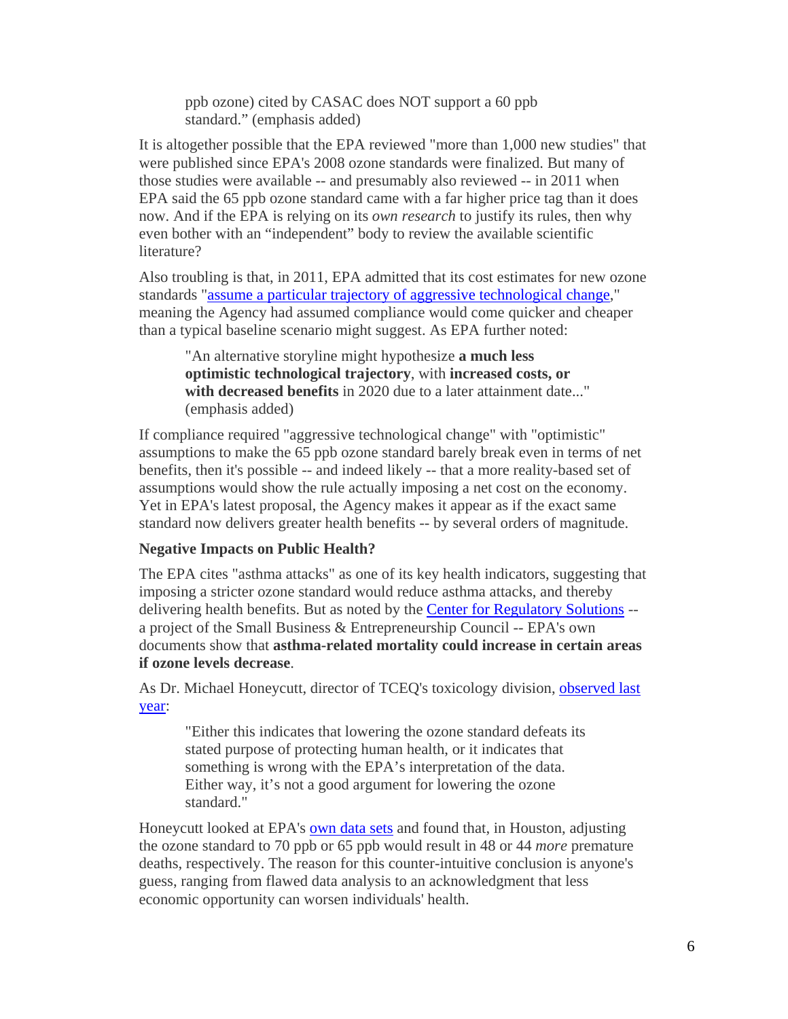ppb ozone) cited by CASAC does NOT support a 60 ppb standard." (emphasis added)

It is altogether possible that the EPA reviewed "more than 1,000 new studies" that were published since EPA's 2008 ozone standards were finalized. But many of those studies were available -- and presumably also reviewed -- in 2011 when EPA said the 65 ppb ozone standard came with a far higher price tag than it does now. And if the EPA is relying on its *own research* to justify its rules, then why even bother with an "independent" body to review the available scientific literature?

Also troubling is that, in 2011, EPA admitted that its cost estimates for new ozone standards "assume a particular trajectory of aggressive technological change," meaning the Agency had assumed compliance would come quicker and cheaper than a typical baseline scenario might suggest. As EPA further noted:

"An alternative storyline might hypothesize **a much less optimistic technological trajectory**, with **increased costs, or with decreased benefits** in 2020 due to a later attainment date..." (emphasis added)

If compliance required "aggressive technological change" with "optimistic" assumptions to make the 65 ppb ozone standard barely break even in terms of net benefits, then it's possible -- and indeed likely -- that a more reality-based set of assumptions would show the rule actually imposing a net cost on the economy. Yet in EPA's latest proposal, the Agency makes it appear as if the exact same standard now delivers greater health benefits -- by several orders of magnitude.

## **Negative Impacts on Public Health?**

The EPA cites "asthma attacks" as one of its key health indicators, suggesting that imposing a stricter ozone standard would reduce asthma attacks, and thereby delivering health benefits. But as noted by the Center for Regulatory Solutions - a project of the Small Business & Entrepreneurship Council -- EPA's own documents show that **asthma-related mortality could increase in certain areas if ozone levels decrease**.

As Dr. Michael Honeycutt, director of TCEQ's toxicology division, observed last year:

"Either this indicates that lowering the ozone standard defeats its stated purpose of protecting human health, or it indicates that something is wrong with the EPA's interpretation of the data. Either way, it's not a good argument for lowering the ozone standard."

Honeycutt looked at EPA's own data sets and found that, in Houston, adjusting the ozone standard to 70 ppb or 65 ppb would result in 48 or 44 *more* premature deaths, respectively. The reason for this counter-intuitive conclusion is anyone's guess, ranging from flawed data analysis to an acknowledgment that less economic opportunity can worsen individuals' health.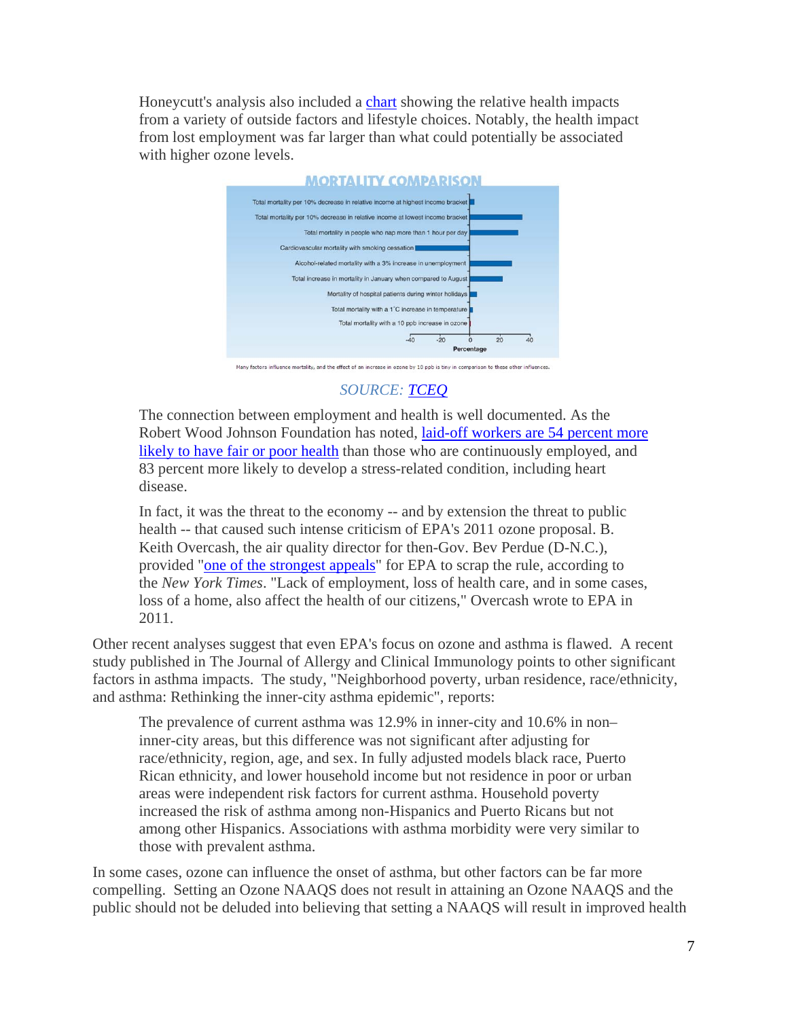Honeycutt's analysis also included a chart showing the relative health impacts from a variety of outside factors and lifestyle choices. Notably, the health impact from lost employment was far larger than what could potentially be associated with higher ozone levels.



Many factors influence mortality, and the effect of an increase in ozone by 10 ppb is tiny in comparison to these other influences.

## *SOURCE: TCEQ*

The connection between employment and health is well documented. As the Robert Wood Johnson Foundation has noted, laid-off workers are 54 percent more likely to have fair or poor health than those who are continuously employed, and 83 percent more likely to develop a stress-related condition, including heart disease.

In fact, it was the threat to the economy -- and by extension the threat to public health -- that caused such intense criticism of EPA's 2011 ozone proposal. B. Keith Overcash, the air quality director for then-Gov. Bev Perdue (D-N.C.), provided "one of the strongest appeals" for EPA to scrap the rule, according to the *New York Times*. "Lack of employment, loss of health care, and in some cases, loss of a home, also affect the health of our citizens," Overcash wrote to EPA in 2011.

Other recent analyses suggest that even EPA's focus on ozone and asthma is flawed. A recent study published in The Journal of Allergy and Clinical Immunology points to other significant factors in asthma impacts. The study, "Neighborhood poverty, urban residence, race/ethnicity, and asthma: Rethinking the inner-city asthma epidemic", reports:

The prevalence of current asthma was 12.9% in inner-city and 10.6% in non– inner-city areas, but this difference was not significant after adjusting for race/ethnicity, region, age, and sex. In fully adjusted models black race, Puerto Rican ethnicity, and lower household income but not residence in poor or urban areas were independent risk factors for current asthma. Household poverty increased the risk of asthma among non-Hispanics and Puerto Ricans but not among other Hispanics. Associations with asthma morbidity were very similar to those with prevalent asthma.

In some cases, ozone can influence the onset of asthma, but other factors can be far more compelling. Setting an Ozone NAAQS does not result in attaining an Ozone NAAQS and the public should not be deluded into believing that setting a NAAQS will result in improved health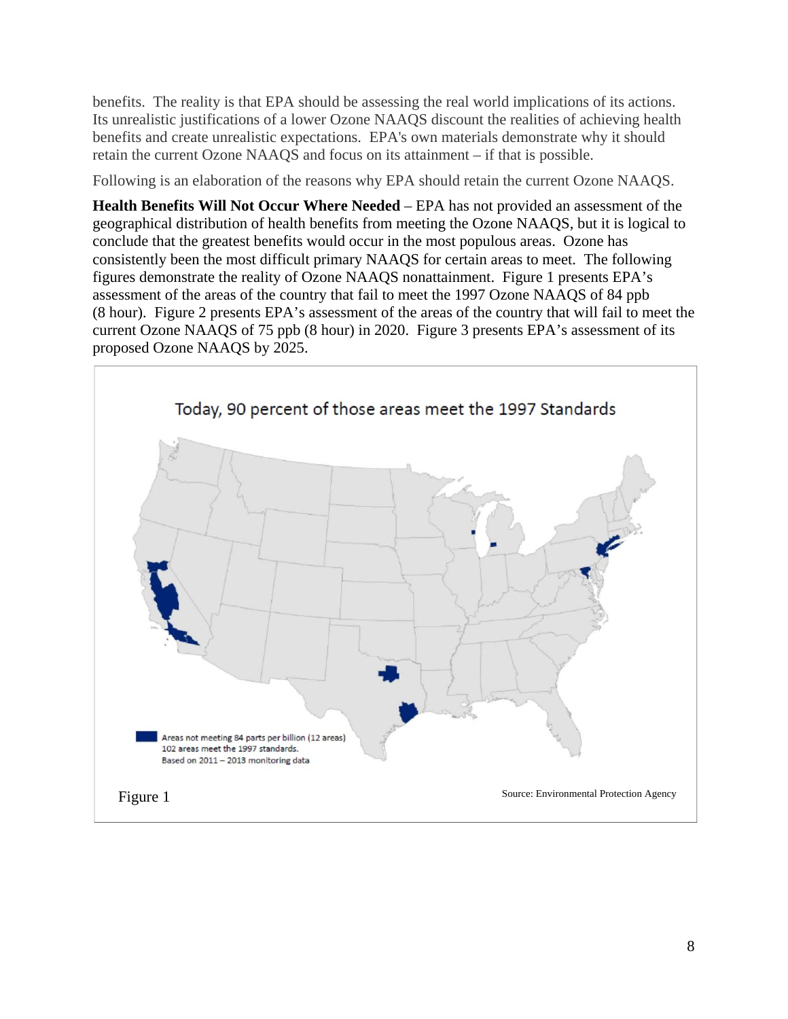benefits. The reality is that EPA should be assessing the real world implications of its actions. Its unrealistic justifications of a lower Ozone NAAQS discount the realities of achieving health benefits and create unrealistic expectations. EPA's own materials demonstrate why it should retain the current Ozone NAAQS and focus on its attainment – if that is possible.

Following is an elaboration of the reasons why EPA should retain the current Ozone NAAQS.

**Health Benefits Will Not Occur Where Needed** – EPA has not provided an assessment of the geographical distribution of health benefits from meeting the Ozone NAAQS, but it is logical to conclude that the greatest benefits would occur in the most populous areas. Ozone has consistently been the most difficult primary NAAQS for certain areas to meet. The following figures demonstrate the reality of Ozone NAAQS nonattainment. Figure 1 presents EPA's assessment of the areas of the country that fail to meet the 1997 Ozone NAAQS of 84 ppb (8 hour). Figure 2 presents EPA's assessment of the areas of the country that will fail to meet the current Ozone NAAQS of 75 ppb (8 hour) in 2020. Figure 3 presents EPA's assessment of its proposed Ozone NAAQS by 2025.

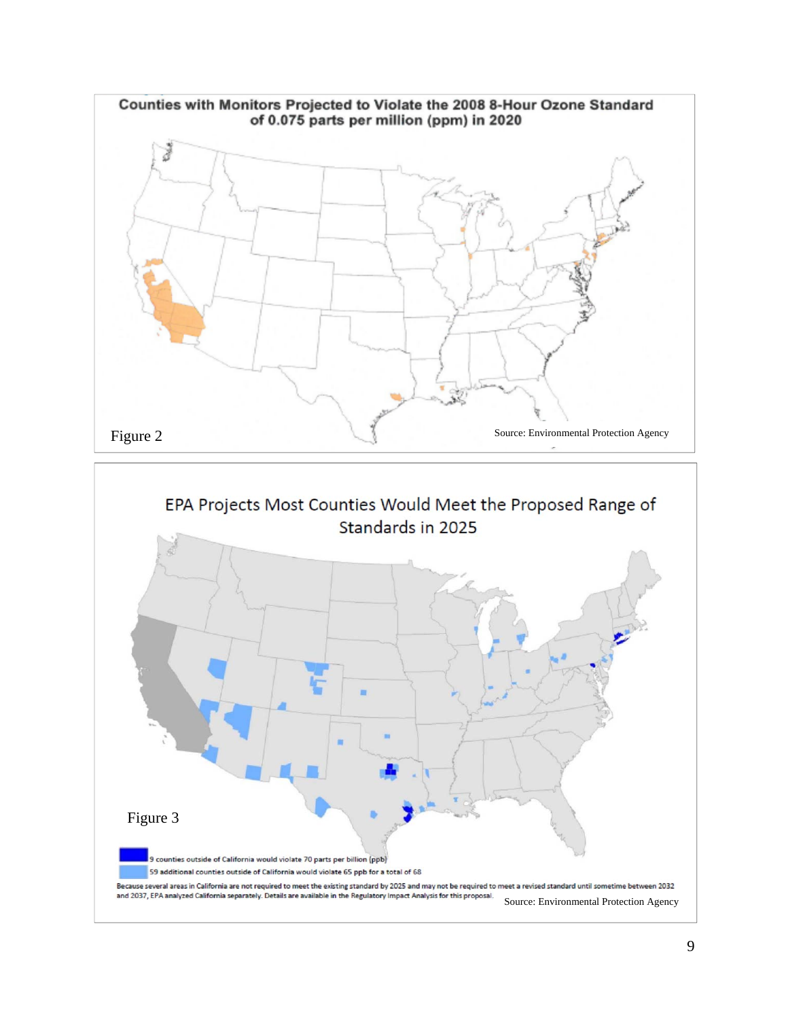

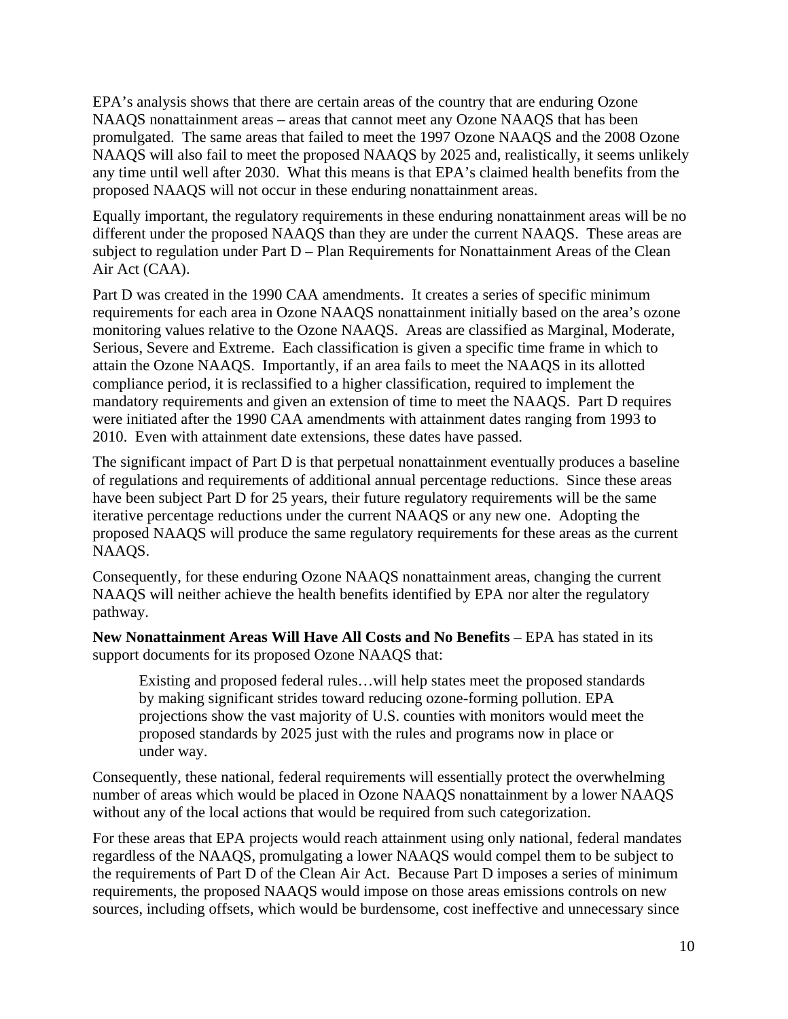EPA's analysis shows that there are certain areas of the country that are enduring Ozone NAAQS nonattainment areas – areas that cannot meet any Ozone NAAQS that has been promulgated. The same areas that failed to meet the 1997 Ozone NAAQS and the 2008 Ozone NAAQS will also fail to meet the proposed NAAQS by 2025 and, realistically, it seems unlikely any time until well after 2030. What this means is that EPA's claimed health benefits from the proposed NAAQS will not occur in these enduring nonattainment areas.

Equally important, the regulatory requirements in these enduring nonattainment areas will be no different under the proposed NAAQS than they are under the current NAAQS. These areas are subject to regulation under Part D – Plan Requirements for Nonattainment Areas of the Clean Air Act (CAA).

Part D was created in the 1990 CAA amendments. It creates a series of specific minimum requirements for each area in Ozone NAAQS nonattainment initially based on the area's ozone monitoring values relative to the Ozone NAAQS. Areas are classified as Marginal, Moderate, Serious, Severe and Extreme. Each classification is given a specific time frame in which to attain the Ozone NAAQS. Importantly, if an area fails to meet the NAAQS in its allotted compliance period, it is reclassified to a higher classification, required to implement the mandatory requirements and given an extension of time to meet the NAAQS. Part D requires were initiated after the 1990 CAA amendments with attainment dates ranging from 1993 to 2010. Even with attainment date extensions, these dates have passed.

The significant impact of Part D is that perpetual nonattainment eventually produces a baseline of regulations and requirements of additional annual percentage reductions. Since these areas have been subject Part D for 25 years, their future regulatory requirements will be the same iterative percentage reductions under the current NAAQS or any new one. Adopting the proposed NAAQS will produce the same regulatory requirements for these areas as the current NAAQS.

Consequently, for these enduring Ozone NAAQS nonattainment areas, changing the current NAAQS will neither achieve the health benefits identified by EPA nor alter the regulatory pathway.

**New Nonattainment Areas Will Have All Costs and No Benefits** – EPA has stated in its support documents for its proposed Ozone NAAQS that:

Existing and proposed federal rules…will help states meet the proposed standards by making significant strides toward reducing ozone-forming pollution. EPA projections show the vast majority of U.S. counties with monitors would meet the proposed standards by 2025 just with the rules and programs now in place or under way.

Consequently, these national, federal requirements will essentially protect the overwhelming number of areas which would be placed in Ozone NAAQS nonattainment by a lower NAAQS without any of the local actions that would be required from such categorization.

For these areas that EPA projects would reach attainment using only national, federal mandates regardless of the NAAQS, promulgating a lower NAAQS would compel them to be subject to the requirements of Part D of the Clean Air Act. Because Part D imposes a series of minimum requirements, the proposed NAAQS would impose on those areas emissions controls on new sources, including offsets, which would be burdensome, cost ineffective and unnecessary since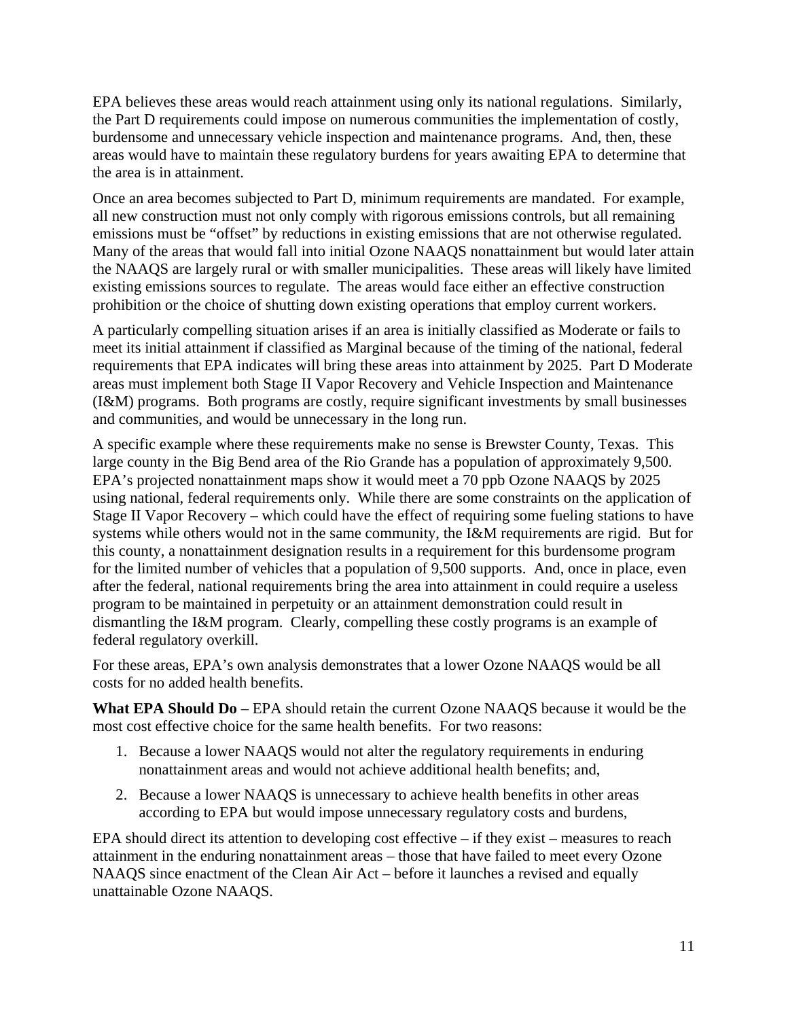EPA believes these areas would reach attainment using only its national regulations. Similarly, the Part D requirements could impose on numerous communities the implementation of costly, burdensome and unnecessary vehicle inspection and maintenance programs. And, then, these areas would have to maintain these regulatory burdens for years awaiting EPA to determine that the area is in attainment.

Once an area becomes subjected to Part D, minimum requirements are mandated. For example, all new construction must not only comply with rigorous emissions controls, but all remaining emissions must be "offset" by reductions in existing emissions that are not otherwise regulated. Many of the areas that would fall into initial Ozone NAAQS nonattainment but would later attain the NAAQS are largely rural or with smaller municipalities. These areas will likely have limited existing emissions sources to regulate. The areas would face either an effective construction prohibition or the choice of shutting down existing operations that employ current workers.

A particularly compelling situation arises if an area is initially classified as Moderate or fails to meet its initial attainment if classified as Marginal because of the timing of the national, federal requirements that EPA indicates will bring these areas into attainment by 2025. Part D Moderate areas must implement both Stage II Vapor Recovery and Vehicle Inspection and Maintenance (I&M) programs. Both programs are costly, require significant investments by small businesses and communities, and would be unnecessary in the long run.

A specific example where these requirements make no sense is Brewster County, Texas. This large county in the Big Bend area of the Rio Grande has a population of approximately 9,500. EPA's projected nonattainment maps show it would meet a 70 ppb Ozone NAAQS by 2025 using national, federal requirements only. While there are some constraints on the application of Stage II Vapor Recovery – which could have the effect of requiring some fueling stations to have systems while others would not in the same community, the I&M requirements are rigid. But for this county, a nonattainment designation results in a requirement for this burdensome program for the limited number of vehicles that a population of 9,500 supports. And, once in place, even after the federal, national requirements bring the area into attainment in could require a useless program to be maintained in perpetuity or an attainment demonstration could result in dismantling the I&M program. Clearly, compelling these costly programs is an example of federal regulatory overkill.

For these areas, EPA's own analysis demonstrates that a lower Ozone NAAQS would be all costs for no added health benefits.

**What EPA Should Do** – EPA should retain the current Ozone NAAQS because it would be the most cost effective choice for the same health benefits. For two reasons:

- 1. Because a lower NAAQS would not alter the regulatory requirements in enduring nonattainment areas and would not achieve additional health benefits; and,
- 2. Because a lower NAAQS is unnecessary to achieve health benefits in other areas according to EPA but would impose unnecessary regulatory costs and burdens,

EPA should direct its attention to developing cost effective – if they exist – measures to reach attainment in the enduring nonattainment areas – those that have failed to meet every Ozone NAAQS since enactment of the Clean Air Act – before it launches a revised and equally unattainable Ozone NAAQS.